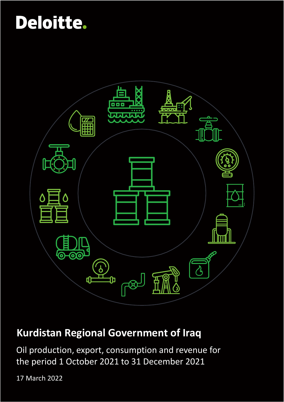

## **Kurdistan Regional Government of Iraq**

Oil production, export, consumption and revenue for the period 1 October 2021 to 31 December 2021

17 March 2022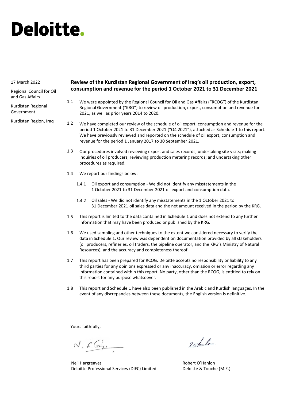#### 17 March 2022

Regional Council for Oil and Gas Affairs

Kurdistan Regional Government

Kurdistan Region, Iraq

### **Review of the Kurdistan Regional Government of Iraq's oil production, export, consumption and revenue for the period 1 October 2021 to 31 December 2021**

- We were appointed by the Regional Council for Oil and Gas Affairs ("RCOG") of the Kurdistan Regional Government ("KRG") to review oil production, export, consumption and revenue for 2021, as well as prior years 2014 to 2020. 1.1
- We have completed our review of the schedule of oil export, consumption and revenue for the period 1 October 2021 to 31 December 2021 ("Q4 2021"), attached as Schedule 1 to this report. We have previously reviewed and reported on the schedule of oil export, consumption and revenue for the period 1 January 2017 to 30 September 2021. 1.2
- Our procedures involved reviewing export and sales records; undertaking site visits; making inquiries of oil producers; reviewing production metering records; and undertaking other procedures as required. 1.3
- We report our findings below: 1.4
	- 1.4.1 Oil export and consumption We did not identify any misstatements in the 1 October 2021 to 31 December 2021 oil export and consumption data.
	- Oil sales We did not identify any misstatements in the 1 October 2021 to 1.4.2 31 December 2021 oil sales data and the net amount received in the period by the KRG.
- This report is limited to the data contained in Schedule 1 and does not extend to any further information that may have been produced or published by the KRG. 1.5
- We used sampling and other techniques to the extent we considered necessary to verify the data in Schedule 1. Our review was dependent on documentation provided by all stakeholders (oil producers, refineries, oil traders, the pipeline operator, and the KRG's Ministry of Natural Resources), and the accuracy and completeness thereof. 1.6
- This report has been prepared for RCOG. Deloitte accepts no responsibility or liability to any third parties for any opinions expressed or any inaccuracy, omission or error regarding any information contained within this report. No party, other than the RCOG, is entitled to rely on this report for any purpose whatsoever. 1.7
- This report and Schedule 1 have also been published in the Arabic and Kurdish languages. In the event of any discrepancies between these documents, the English version is definitive. 1.8

Yours faithfully,

N. Clay.

Neil Hargreaves Deloitte Professional Services (DIFC) Limited

20 tanlos.

Robert O'Hanlon Deloitte & Touche (M.E.)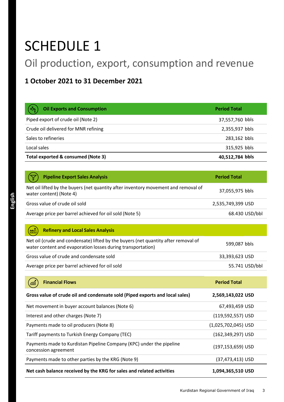# SCHEDULE 1

## Oil production, export, consumption and revenue

### **1 October 2021 to 31 December 2021**

| $\left(\exists \vec{\lambda}\right)$<br><b>Oil Exports and Consumption</b> | <b>Period Total</b> |
|----------------------------------------------------------------------------|---------------------|
| Piped export of crude oil (Note 2)                                         | 37,557,760 bbls     |
| Crude oil delivered for MNR refining                                       | 2,355,937 bbls      |
| Sales to refineries                                                        | 283,162 bbls        |
| Local sales                                                                | 315,925 bbls        |
| Total exported & consumed (Note 3)                                         | 40,512,784 bbls     |

| <b>Pipeline Export Sales Analysis</b>                                                                         | <b>Period Total</b> |
|---------------------------------------------------------------------------------------------------------------|---------------------|
| Net oil lifted by the buyers (net quantity after inventory movement and removal of<br>water content) (Note 4) | 37,055,975 bbls     |
| Gross value of crude oil sold                                                                                 | 2,535,749,399 USD   |
| Average price per barrel achieved for oil sold (Note 5)                                                       | 68.430 USD/bbl      |

#### **Refinery and Local Sales Analysis**  $(\overline{W})$

| Net oil (crude and condensate) lifted by the buyers (net quantity after removal of<br>water content and evaporation losses during transportation) | 599,087 bbls   |
|---------------------------------------------------------------------------------------------------------------------------------------------------|----------------|
| Gross value of crude and condensate sold                                                                                                          | 33.393.623 USD |
| Average price per barrel achieved for oil sold                                                                                                    | 55.741 USD/bbl |

| <b>Financial Flows</b><br>,600                                                               | <b>Period Total</b>   |
|----------------------------------------------------------------------------------------------|-----------------------|
| Gross value of crude oil and condensate sold (Piped exports and local sales)                 | 2,569,143,022 USD     |
| Net movement in buyer account balances (Note 6)                                              | 67,493,459 USD        |
| Interest and other charges (Note 7)                                                          | $(119, 592, 557)$ USD |
| Payments made to oil producers (Note 8)                                                      | $(1,025,702,045)$ USD |
| Tariff payments to Turkish Energy Company (TEC)                                              | (162,349,297) USD     |
| Payments made to Kurdistan Pipeline Company (KPC) under the pipeline<br>concession agreement | (197,153,659) USD     |
| Payments made to other parties by the KRG (Note 9)                                           | (37,473,413) USD      |
| Net cash balance received by the KRG for sales and related activities                        | 1,094,365,510 USD     |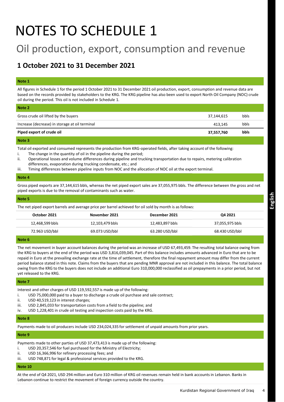# NOTES TO SCHEDULE 1

## Oil production, export, consumption and revenue

### **1 October 2021 to 31 December 2021**

#### **Note 1**

All figures in Schedule 1 for the period 1 October 2021 to 31 December 2021 oil production, export, consumption and revenue data are based on the records provided by stakeholders to the KRG. The KRG pipeline has also been used to export North Oil Company (NOC) crude oil during the period. This oil is not included in Schedule 1.

| Piped export of crude oil                      | 37,557,760 | bbls |  |
|------------------------------------------------|------------|------|--|
| Increase (decrease) in storage at oil terminal | 413.145    | bbls |  |
|                                                |            |      |  |
| Gross crude oil lifted by the buyers           | 37,144,615 | bbls |  |
| Note 2                                         |            |      |  |

#### **Note 3**

Total oil exported and consumed represents the production from KRG-operated fields, after taking account of the following:

- i. The change in the quantity of oil in the pipeline during the period;
- ii. Operational losses and volume differences during pipeline and trucking transportation due to repairs, metering calibration differences, evaporation during trucking condensate, etc.; and
- iii. Timing differences between pipeline inputs from NOC and the allocation of NOC oil at the export terminal.

#### **Note 4**

Gross piped exports are 37,144,615 bbls, whereas the net piped export sales are 37,055,975 bbls. The difference between the gross and net piped exports is due to the removal of contaminants such as water.

#### **Note 5**

The net piped export barrels and average price per barrel achieved for oil sold by month is as follows:

| October 2021    | November 2021   | December 2021   | Q4 2021         |
|-----------------|-----------------|-----------------|-----------------|
| 12,468,599 bbls | 12,103,479 bbls | 12,483,897 bbls | 37,055,975 bbls |
| 72.963 USD/bbl  | 69.073 USD/bbl  | 63.280 USD/bbl  | 68.430 USD/bbl  |

#### **Note 6**

The net movement in buyer account balances during the period was an increase of USD 67,493,459. The resulting total balance owing from the KRG to buyers at the end of the period was USD 3,816,039,045. Part of this balance includes amounts advanced in Euro that are to be repaid in Euro at the prevailing exchange rate at the time of settlement, therefore the final repayment amount may differ from the current period balance stated in this note. Claims from the buyers that are pending MNR approval are not included in this balance. The total balance owing from the KRG to the buyers does not include an additional Euro 310,000,000 reclassified as oil prepayments in a prior period, but not yet released to the KRG.

#### **Note 7**

Interest and other charges of USD 119,592,557 is made up of the following:

i. USD 75,000,000 paid to a buyer to discharge a crude oil purchase and sale contract;

ii. USD 40,519,123 in interest charges;

- iii. USD 2,845,033 for transportation costs from a field to the pipeline; and
- iv. USD 1,228,401 in crude oil testing and inspection costs paid by the KRG.

#### **Note 8**

Payments made to oil producers include USD 234,024,335 for settlement of unpaid amounts from prior years.

#### **Note 9**

Payments made to other parties of USD 37,473,413 is made up of the following:

- i. USD 20,357,546 for fuel purchased for the Ministry of Electricity;
- ii. USD 16,366,996 for refinery processing fees; and
- iii. USD 748,871 for legal & professional services provided to the KRG.

#### **Note 10**

At the end of Q4 2021, USD 294 million and Euro 310 million of KRG oil revenues remain held in bank accounts in Lebanon. Banks in Lebanon continue to restrict the movement of foreign currency outside the country.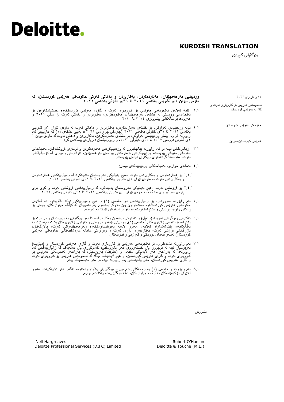### **KURDISH TRANSLATION**

**وەرگێڕانى كوردی** 

۱٧ی ئازاری ۲۰۲۲ ئەنجومەنی هەرێمی بۆ کاروباری نەوت و گاز لە هەرێمی کوردستان حکومەتی هەرێمی کوردستان هەرێمی کوردستان-عێراق **وردبینیی بەرهەمهێنان، هەناردەکردن، بەکاربردن و داهاتی نەوتی حکومەتی هەرێمی کوردستان، لە ماوەی نێوان ۱ى تشرینی یەکەمی ٢٠٢۱ تا ٣۱ى کانونی یەکەمی ٢٠٢۱** ۱.۱ ئێمە لەالیەن ئەنجومەنی هەرێمی بۆ كاروبارى نەوت و گازی هەرێمی کوردستانەوە دەستنیشانکراین بۆ ئەنجامدانی وردبینی لە خشتەی بەرهەمهێنان، هەناردەکردن، بەکاربردن و داهاتی نەوت بۆ ساڵی ۲۰۲۱ و هەروەها بۆ ساڵەكانی پێشووتری ۲۰۱٤ تا .۲۰۲۰ ۲.۱ ئێمە وردبینیمان تەواوكرد بۆ خشتەی هەناردەکردن، بەکاربردن و داهاتی نەوت لە ماوەی نێوان ۱ى تشرینی یەکەمی ۲۰۲۱ تا ٣۱ی کانونی یەکەمی ۲۰۲۱ )چارەكی چوارەمی ۲۰۲۱(، بەپێى خشتەی )۱( كە هاوپێچی ئەم راپۆرتە کراوە. پێشتر وردبینیمان تەواوكرد بۆ خشتەی هەناردەكردن، بەكاربردن و داهاتی نەوت لە ماوەی نێوان ۱ ۱ی کانونی دووەمی ۲۰۱٧ تا ٣۰ی ئەیلولی ،۲۰۲۱ و ڕاپۆرتیشمان دەربارەی پێشکەش کرد. ٣.۱ ڕێکارەکانی ئێمە بۆ ئەم ڕاپۆرتە پێکهاتبوون لە وردبینیکردنی هەناردەکردن و تۆماری فرۆشتنەکان، ئەنجامدانی سەردانی مەیدانی پێویست، وردبینیکردنی تۆمارەکانی پێوانەی بەرهەمهێنان، داواكردنى زانیارى لە کۆمپانیاکانی نەوت، هەروەها گرتنەبەری ڕێکاری دیكەى پێویست. ٤.۱ ئەمانەی خوارەوە ئەنجامەکانی وردبینییەکەی ئێمەن: ۱.٤.۱ بۆ هەناردەکردن و بەکاربردنی نەوت -هیچ بەیانێکی نادروستمان بەدینەکرد لە زانیارییەکانی هەناردەکردن و بەکاربردنی نەوت لە ماوەی نێوان ۱ى تشرینی یەکەمی ۲۰۲۱ تا ٣۱ی کانونی یەکەمی .۲۰۲۱ ۲.٤.۱ بۆ فرۆشتنی نەوت -هیچ بەیانێکی نادروستمان بەدینەکرد لە زانیارییەکانی فرۆشتنی نەوت و کۆی بڕی پارەی وەرگیراوی مانگانە لە ماوەی نێوان ۱ى تشرینی یەکەمی ۲۰۲۱ تا ٣۱ی کانونی یەکەمی .۲۰۲۱ 5.۱ ئەم ڕاپۆرتە سنووردارە بۆ زانیارییەکانی ناو خشتەی )۱( و هیچ زانیارییەکی دیکە ناگرێتەوە کە لەالیەن حکومەتی ھەرێمی کوردستانـەوە ئامادەکراون یان بلاوکراونـەتـەوە. بـەرھەممهێنان لـه کێلگە جیاوازەکان، بـابـەتن بۆ ڕێکاری تری وردبینی و پشتڕاستکردنەوە، ئەو پرۆسەیەش ئێستا بەردەوامە. 6.۱ تەکنیکی وەرگرتنی نموونە )سامپڵ( و تەکنیکی دیکەمان بەکارهێناوە، تا ئەو جێگەیەی بە پێویستمان زانی بێت بۆ پشتر استکردنـەوەی زانـیارییـهکانـی خشتەی (۱)<sub>.</sub> وردبینـی ئێمه و دروستـی و تـەواوی زاننیارییبەکان پشت دەپەستێت بە بەڵگەنامەی پێشکەشکراو لەالیەن هەموو الیەنە پەیوەندیدارەکانەوە )بەرهەمهێنەرانی نەوت، پااڵوگەکان، بازرگانانی فرۆشى نەوت، بەکارخەری بۆری نەوت و وەزارەتی سامانە سروشتییەکانی حکومەتی هەرێمی کوردستان) لەسەر بنەمای دروستى و تەواويى زانيارييەكان.

- ٧.۱ ئەم ڕاپۆرتە ئامادەکراوە بۆ ئەنجومەنی هەرێمی بۆ كاروبارى نەوت و گازی هەرێمی کوردستان و )دیلۆیت( بەرپرسیار نییه له بۆچوون یان خستنەرووی هەر نادروستیی، کەموکوری یان هالمەیک له زانیارییەکانی ئەم<br>راپزرتەدا له بەرامبەر هەر لایەننکی سنیەم، و (دیلزیت) بەرپرسیاره له بەرامبەر ئەنجومەنی هەربمی بۆ كاروبارى نەوت و گازی هەرێمی کوردستان، و هیچ الیەنێک، جگە لە ئەنجومەنی هەرێمی بۆ كاروبارى نەوت و گازی هەرێمی کوردستان، مافی پشتبەستنی بەم ڕاپۆرتە نییە، بۆ هەر مەبەستێک بێت.
- 8.۱ ئەم ڕاپۆرتە و خشتەی )۱( بە زمانەکانی عەرەبی و ئینگلیزیش باڵوکراونەتەوە، ئەگەر هەر دژیەکییەک هەبوو لەنێوان دۆکۆمێنتەکان بە زمانە جیاوازەکان، دەقە ئینگلیزییەکە یەکالکەرەوەیە.

دڵسۆزتان

Robert O'Hanlon Deloitte & Touche (M.E.)

Neil Hargreaves Deloitte Professional Services (DIFC) Limited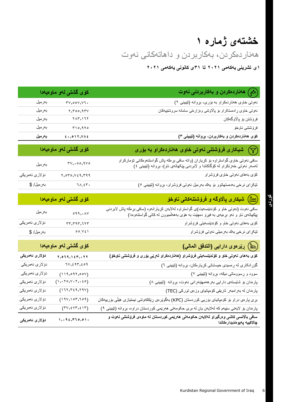## **خشتەی ژمارە ۱** هەناردەکردن، بەکاربردن و داهاتەكانى نەوت

**۱ى تشرینی یەکەمی ٢٠٢۱ تا ٣۱ی کانونی یەکەمی ٢٠٢۱**

|                                  | کۆی گشتی لەو ماوەيەدا                                                                | ( گِمْ ) هافاردەكردن و بەكاربردن <i>ى</i> نەوت                                                                                                                             |
|----------------------------------|--------------------------------------------------------------------------------------|----------------------------------------------------------------------------------------------------------------------------------------------------------------------------|
| بەرمىل                           | $rv, \circ \circ v, \forall \tau.$                                                   | نهوتی خاوی ههناردهکراو به بۆری، بړوانه (تێبينی ۲)                                                                                                                          |
| بەرمىل                           | 5,500,950                                                                            | نەوتى خاوى ړادهستكراو بۆ پالاونتى وەزارەتى سامانه سروشتييەكان                                                                                                              |
| بەرمىل                           | $\gamma \wedge \gamma$ , $\gamma \wedge \gamma$                                      | فرۆشتن بۆ پالاوگەكان                                                                                                                                                       |
| بەرمىل                           | $r_1, r_1, r_0$                                                                      | فرۆشتنى ناوخۆ                                                                                                                                                              |
| بەرمىل                           | 5.017,346                                                                            | كۆى ھەناردەكردن و بەكارېردن، بړوانه (تێبينى ٣)                                                                                                                             |
|                                  |                                                                                      |                                                                                                                                                                            |
|                                  | كۆى گشتى لەر مارەيەدا                                                                | شیکاری فرۆشتنی نەوتی خاوی ھەناردەكراو بە بۆرى $(\bigtriangledown)$                                                                                                         |
| بەرمىل                           | $\mathsf{rv}, \mathsf{co}, \mathsf{avo}$                                             | سافی نەوتی خاوی گواستراوه بۆ كړياران (واته سافی بړىكه پاش گواستنەومكانی تۆماركراو<br>لەسەر نەوتى خەزنكراو لە كۆگاكاندا و لابردنى پێكهاتەي ئاو)، بړوانه (تێبينى ٤)          |
| دۆلارى ئەمرىكى                   | $\mathbf{y}, \mathbf{0}, \mathbf{0}, \mathbf{0}, \mathbf{0}, \mathbf{1}, \mathbf{0}$ | كۆي بەھاي نەوتى خاوي فرۆشراو                                                                                                                                               |
| بەرمىل/ \$                       | 11.57.                                                                               | تێکړای نرخی بهدهستهاتوو بۆ يەك بەرمىل نەوتى فرۆشراو، بړوانه (تێيينى ٥)                                                                                                     |
|                                  |                                                                                      |                                                                                                                                                                            |
|                                  | کۆی گشتی لەو ماوەيەدا                                                                | شیکاری پالاوگه و فروشتنهکانی ناوخو $\big(\mathrm{hr}\big)$                                                                                                                 |
| بەرمىل                           | $\circ$ 99, $\cdot$ $\wedge$ Y                                                       | سافی نەوت (نەوتى خاو و كۆندێنسەيت)ى گواستراوە لەلايەن كړيارانەوە (سافى بړەكە پاش لابردنى<br>پێكهاتەي ئاو و ئەو بړەيەي بە فيړۆ دەچێت بە ھۆي بەھەلمىبوون لەكاتى گواستنەوەدا) |
| دۆ لار <i>ی</i> ئە <i>مر</i> ىكى | $rr, r$ 9 $r, 7$                                                                     | كۆي بەھاي نەوتى خاو و كۆندێنسەيتى فرۆشراو                                                                                                                                  |
| بەرمىل/ \$                       | 00.921                                                                               | تێکړاي نرخي پهك بەرميلي نەوتى فرۆشراو                                                                                                                                      |
|                                  | كۆى گشتى لەو ماوەيەدا                                                                | (أأأأ) رِيْرەوى دارايى (التدفق المالي)                                                                                                                                     |
| دۆلارى ئەمر <mark>يكى</mark>     | 1, 0, 1, 1, 1, 1, 1, 1, 1                                                            | كۆى بەھاي نەوتى خاو و كۆندېنسەيتى فرۆشراو (ھەناردەكراو لەريى بۆرى و فرۆشتنى ناوخۆ)                                                                                         |
| دۆلارى ئەمرىكى                   | $1 \vee, \xi$ 9٣,٤٥٩                                                                 | گۆړ انکاری له ړهسیدی حیساباتی کړیار مکان، بړوانه (تیبینی ٦)                                                                                                                |
| دۆلارى ئەمرىكى                   | (119,097,004)                                                                        | سوود و ړسووماتی دیکه، بړوانه (تێبینی ۷)                                                                                                                                    |
| دۆلارى ئەمرىكى                   | (1, 1, 1, 0, 1, 1, 1, 1, 0, 0)                                                       | پارمدان بۆ شایستەی دارایی بەرھەمھێنەرانی نەوت، بړوانە (نێبینی ۸)                                                                                                           |
| دۆلارى ئەمرىكى                   | $(111,721,711)$                                                                      | پارهدان له بهرامبهر تاریفی کومپانیای وزمی تورکی (TEC)                                                                                                                      |
| دۆلارى ئەمرىكى                   | (191, 105, 109)                                                                      | بړی پارەی دراو بۆ كۆمپانيای بۆريى كوردستان (KPC) بەگوێرەی ړێککەوتنى ئیمتیازی هێڵی بۆربیەکان                                                                                |
| دۆلارى ئەمرىكى                   | $(\Upsilon \vee, \xi \vee \Upsilon, \xi \wedge \Upsilon)$                            | پارهدان بۆ لايەنى سێيەم كە لەلايەن يان لە برى حكومەتى ھەرێمى كوردستان دراوە، بړوانە (تێيبنى ٩)                                                                             |
| دۆلار ئ ئەمريكى                  | 1, .42, .770, .01.                                                                   | سافی بالانسی کاشی و درگیراو لهلایهن حکومهتی ههریمی کوردستان له ماوهی فروشتنی نهوت و<br>چالاكييه پەيو ەنديدار ەكاندا                                                        |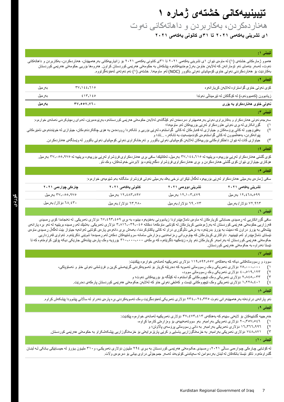**تێبینییەكانی خشتەی ژمارە ۱**

### هەناردەکردن، بەکاربردن و داهاتەكانى نەوت

**۱ى تشرینی یەکەمی ٢٠٢۱ تا ٣۱ی کانونی یەکەمی ٢٠٢۱**

#### **تێبینی :1**

ههموو ژمارمکانی خشتهی (۱) له ماومی نێوان ۱ی تشرینی یهکهمی ۲۰۲۱ تا ۳۱ی کانونی یهکهی ۲۰۲۱ بۆ زانیارییهکانی بهرههمهێنان، هەناردەکردن، بەکاربردن و داهاتەکانی نەوت، لەسەر بنەمای ئەو تۆمارانەن كە لەلايەن خاوىن بەرژەومندییەكشاپ مەركىتى كەردستان كراون. ھەروەھا بۆرىي حكومەتی ھەرپمی كوردستان بەكاردێت بۆ هەناردەكردنی نەوتی خاوی كۆمپانیای نەوتی باكوور )NOC )لەو ماوەیەدا. خشتەی )۱( ئەم نەوتەی لەخۆنەگرتووە.

| تيبيني ٢:                                            |                              |         |
|------------------------------------------------------|------------------------------|---------|
| كۆي نەوتىي خاوي گواستراوه لەلايەن كړيارانەوه         | TV, 122, 710                 | بەر مېل |
| زیادبوون (کەمبوونەوە) لە کۆگاکان لە نێرمیناڵى نەوندا | 215.120                      | بەر مېل |
| نەوتى خاوى ھەناردەكراو بە بۆرى                       | $TV, \circ \circ V, V$ , $V$ | بەر مىل |
|                                                      |                              |         |

#### **تێبینی :٣**

سەرجەم نەوتی هەناردەكراو و بەكاربراوی نەوتی بەر ھەمھێنراو دەردەخەن لەكرىك كەركەن كەردىستانەو، بەرێودەبرێن، لەدوای رەچاوکردنی ئەمانەی خوارەوە: 1) گۆڕانکاری لە بڕی نەوتی هاوردەکراو لەڕێی بۆرییەکان لەو ماوەیەدا؛

- ٢) بەفیرۆچوو لەكاتى پرۆسەکان و جیاوازی لە قەبارەکان لەكاتى گواستنەوە لەرپىي و تانکەردا ړوودەدەن بە هۆی چاککردنەو،كان، جیاوازی لە خوێندنەوەی ئامێرەکانی پێوانەکردن، بەهەڵمبوون لە کاتی گواستنەوەی کۆندەینسەیت بە تانکەر، ...تاد؛ و
	- 3) جیاوازی كات لە نێوان داخلكراوەكانی بۆرییەكان لەالیەن كۆمپانیای نەوتی باكوور و تەرخانکراوی نەوتی كۆمپانیای نەوتی باكوور لە وێستگەی هەناردەكردن.

#### **تێبینی :٤**

کۆی گشتی هەناردەكراو لەرێی بۆرییەو، بریتییە لە ۶۷,۱٤٤,۱۱٥ بەرمیل، لەكاتێكدا سافی بړی هەناردەکراوی فرۆشراو لەرێی بۆرییەوە بریتییە لە ۳۷,۰۰۰,۹۷۰ بەرمیل. هۆکاری جیاوازی نێوان كۆی گشتی هەناردەكردن و بڕی هەناردەکراوی فرۆشراو دەگەڕێتەوە بۆ البردنی خەوشەكان، وەك ئاو.

#### **تێبینی :٥**

سافی ژمارەی بەرمیلى هەناردەکراو لەڕێی بۆرییەوە لەگەڵ تێكڕای نرخى یەك بەرمیلی نەوتی فرۆشراو مانگانە بەم شێوەیەی خوارەوە:

| ۱۲٫٤٦۸٫٥٩٩ بەرمىل<br>۱۲٫٤۸۳٫۸۹۷ بەرمىل<br>۱۲٫۱۰۳,٤٧٩ بەرمىل<br>٣٧,٠٥٥,٩٧٥ بەرمىل         |  |
|------------------------------------------------------------------------------------------|--|
|                                                                                          |  |
| ۲۸.٤۳۰ دۆلار/بەرمىل<br>۲۹.۰۷۳ دۆلار/بەرمىل<br>۷۲.۹٦۳ دۆلار/بەرمىل<br>۲۳.۲۸۰ دۆلار/بەرمىل |  |

#### **تێبینی :٦**

سافی گزړانكاریی له رِمسیدی حساباتی كړیار مكان له ماومی ناماژەپێدراودا زیادبوونی بەخبور پوم پر 1٧,٤٩٣,٤٥٩ دۆلاری ئەمریكی. له ئەنجامدا كۆی ړ مسیدی قەرزاریی حكومەتی هەرپمی كوردستان لە بەرژەومندیی كریارەكان لە كۆتاپی ماوەكەدا دەكاتە ٣,٨١٦,٠٣٩,٠٤٧ دۆلارى ئەمریكی. بەشنِك لەم رەسیدە بریتییە لە ئەو برە پارانەی پیشەكی به یۆرۆ دراون كه دەبێت به یۆرۆ بدرێنەو بە نرخی ئالوگۇردن باکتاوكردندا، بەمەش بړی دانەوەی پارەی كۆتایی لەوانەیە جیاواز بێت لەگەل رەسیدی ماوەی ئیستای ئاماژمپێدراو لەم تێبینییه. داواكاری كړیار مكان كە چاوەروانی وماموندی مامانە سروشتییەكان دمكەن لەم رەسیددا شوێنی ناكرێتەو. تەواوی قەرزداریی حکومەتی هەرټمی کوردستان لە بەرامبەر کړیار،کان ئەو پارە زێنەکیپه کە پروتەو، تەرەپ تېرىق بورى پشەکی جارټکی دیکە پۆلټن کراومتەو، کە تا ئێستا نەدراوە بە حکومەتی هەرێمی کوردستان.

#### **تێبینی :٧**

سوود و ڕسووماتەكانی دیکە كە بەهاكەی ۱۱٩,5٩۲,55٧ دۆالری ئەمریكییە لەمانەی خوارەوە پێكدێت:

- ۱) ٧5,۰۰۰,۰۰۰ دۆالری ئەمریکی وەک ڕسووماتی تەسویە کە دەدرێتە کڕیار بۆ تەسویەکردنی گرێبەستی کڕین و فرۆشتنی نەوتی خاو و ئەستۆپاکی،
	- ۲) ٤۰,5۱٩,۱۲٣ دۆالری ئەمریکی وەك ڕسووماتى سوود،
	- ٣) ۲,8٤5,۰٣٣ دۆالری ئەمریکی وەک تێچووەکانی گواستنەوە لە کێڵگە بۆ بۆرییەکانی نەوت؛ و
	- ٤) ۱,۲۲8,٤۰۱ دۆالری ئەمریكی وەک تێچووەکانی تێست و کەشفی نەوتی خاو کە لەالیەن حکومەتی هەرێمی کوردستان پارەکەی دەدرێت.

#### **تێبینی :٨**

ئەو پارانەی دراونەتە بەر ھەمهێنەرانی نەوت °۲۴،۰۲٤,۰۲ دۆلاری ئەمریکی لەخزدەگریّت وەک تەسویەکردنی برە پارەی نەدراو لە سالانی پێشوودا پێشکەش کراوە.

#### **تێبینی :٩**

خەرجییە گشتییەکان بۆ لایەنی سێیەم كە بەھاكەی ٣٧,٤٧٣,٤١٣ دۆلاری ئەمریكییە لەمانەی خوار وو بێكدێت:

- ۱) ۲۰,٣5٧,5٤6 دۆالری ئەمریكی بەرامبەر بەو سووتەمەنییەی بۆ وەزارەتی كارەبا كڕاوە،
- ۲) ۱6,٣66,٩٩6 دۆالری ئەمریكی بەرامبەر بە دانی ڕسووماتی پرۆسەی پااڵوتن؛ و
- ٣) ٧٤8,8٧۱ دۆالری ئەمریكی بەرامبەر بە خزمەتگوزاریی یاسایی و کرێی پارێزەرایەتی بۆ خزمەتگوزاریی پێشکەشکراو بە حكومەتی هەرێمی كوردستان.

#### **تێبینی :1٠**

له کۆتایی چارەکی چوارەمی سالی ،۲۰۲۱ رەسىدی حکومەتی هەریسی کوردستان به بری ١٩٤ ملیون دۆلاری ئەمریکی، و٣١٠ ملیون پورو له حیسابیکی بانکی له لبنان گلدراوەتەوە. تاکو ئێستا بانكەكان لە لبنان بەردەوامن لە سەپاندنی كۆتوبەند لەسەر جموجۆڵی دراوی بیانی بۆ دەرەوەی واڵت.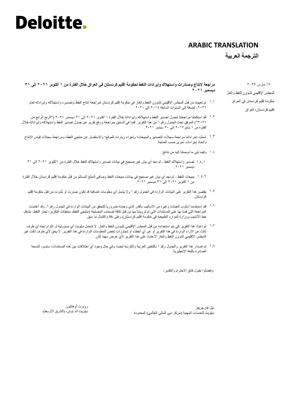### **ARABIC TRANSLATION**

**الترجمة العربیة**

**مراجعة إلنتاج وصادرات واستهالك وإیرادات النفط لحكومة إقلیم كردستان في العراق خالل الفترة من 1 أكتوبر ٢٠٢1 إلى ٣1 دیسمبر ٢٠٢1**

- تم تعییننا من قبل المجلس اإلقلیمي لشؤون النفط والغاز في حكومة إقلیم كردستان لمراجعة إنتاج النفط وتصدیره واستهالكە وإیراداتە لعام ۱.۱ ،2٠21 إضافة إلى السنوات السابقة 2٠1٤ إلى .2٠2٠
- لقد استكملنا مراجعتنا لجدول تصدیر النفط واستهالكە وإیراداتە خالل الفترة 1 أكتوبر 2٠21 إلى 31 دیسمبر 2٠21 )"الربع الرابع من ۱.۲ 2٠21"( المرفق تحت الجدول رقم 1 من هذا التقریر. قمنا في السابق بمراجعة ورفع تقریر عن جدول تصدیر النفط واستهالكە وإیراداتە خالل الفترة من 1 ینایر2٠1٧ إلى 3٠ سبتمبر .2٠21
- شملت إجراءاتنا مراجعة سجالت التصدیر والمبیعات؛ وإجراء زیارات للموقع؛ واالستفسار عن منتجي النفط؛ ومراجعة سجالت قیاس اإلنتاج ۱.٣ واتخاذ إجراءات أخرى حسب الحاجة.
	- وفیما یلي ما توصلنا إلیە من نتائج: ۱.٤
	- تصدیر واستهالك النفط لم نجد أي بیان غیر صحیح في بیانات تصدیر واستهالك النفط خالل الفترة من 1أكتوبر 2٠21 إلى 31 ۱.٤.۱دیسمبر .2٠21
- مبیعات النفط لم نجد أي بیان غیر صحیح في بیانات مبیعات النفط وصافي المبلغ المستلم من قبل حكومة إقلیم كردستان خالل الفترة ۱.٤.۲ من 1 أكتوبر 2٠21 إلى 31 دیسمبر .2٠21
	- یقتصر هذا التقریر على البیانات الواردة في الجدول رقم 1 وال یشمل أي معلومات إضافیة قد تكون صدرت أو نُشرت من قبل حكومة إقلیم ۱.5 كردستان.
- <sup>7, 1</sup> لقد استخدمنا أسلوب العينات وغيره من الأساليب بالقدر الذي وجدناه ضرورياً للتحقق من البيانات الواردة في الجدول رقم ١<sub>٠</sub> وقد اعتمدت المراجعة التي قمنا بها على المستندات التي تم تزویدنا بها من قبل كافة أصحاب المصلحة )منتجي النفط، محطات التكریر، تجار النفط، مشغل خط الأنابیب ووزارة الموارد الطبیعیة في حكومة إقلیم كردستان) وعلى دقة واكتمال ما سبق.
- <sup>۱٫۷</sup> تم إعداد هذا التقرير كي يتم استخدامه من قبل المجلس الإقليمي لشؤون النفط والغاز . لا تتحمل ديلويت أي مسؤولية أو التزام تجاه أي طرف ثالث عن اآلراء الواردة في هذا التقریر أو عن أي أخطاء أو تجاوزات تخص المعلومات الواردة في هذا التقریر. ال یحق ألي طرف ثالث غیر المجلس الإقلیمی لشؤون الّنفط والغاز الاعتماد علّمی هذا التقریر لأي غرض مهما كان.
	- ۱٫۸ تم إصدار هذا التقرير والجدول رقم ۱ باللغتين العربية والكردية أيضاً، وفي حال وجود أي اختلافات ببين هذه المستندات، ستسود النسخة الصادرة باللغة اإلنجلیزیة.

وتفضلوا بقبول فائق االحترام والتقدیر،

نیل هارجریفز ديلويت للخدمات المهنية (مركز دبي المالي العالمي) المحدودة

روبرت أوهانلون دیلویت آند توش، (الشرق الأوسط)

١٧ مارس ٢٠٢٢ المجلس اإلقلیمي لشؤون النفط والغاز حكومة إقلیم كردستان في العراق إقلیم كردستان، العراق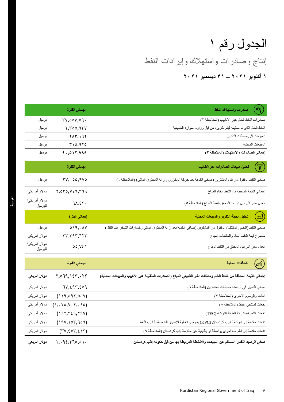## إنتاج وصادرات واستهالك وإیرادات النفط الجدول رقم 1 **1 أكتوبر ٢٠٢1 – ٣1 دیسمبر ٢٠٢1**

| صادرات واستهلاك النفط<br>رچ <del>ي</del>                                                                       | إجمالي الفترة          |                          |
|----------------------------------------------------------------------------------------------------------------|------------------------|--------------------------|
| صادرات النفط الخام عبر الأنابيب (الملاحظة ٢)                                                                   | <b>TV,00V,V7.</b>      | برميل                    |
| النفط الخام الذي تم تسليمه ليتم تكريره من قبل وزارة الموارد الطبيعية                                           | $r, r$ 00,9 $rv$       | بر میل                   |
| المبيعات إلى محطات التكرير                                                                                     | YAY, YY                | بر میل                   |
| المبيعات المحلية                                                                                               | T10,970                | برميل                    |
| إجمالي الصادرات والاستهلاك (الملاحظة ٣)                                                                        | 2.017, V <sub>1</sub>  | برميل                    |
| $\bigtriangledown)$<br>تحليل مبيعات الصادرات عبر الأنابيب                                                      | إجمالي الفترة          |                          |
| صافي النفط المنقول من قبل المشترين (صافي الكمية بعد حركة المخزون وإز الة المحتوى المائي) (الملاحظة ٤)          | TV, .00, 9V0           | برميل                    |
| إجمالي القيمة المحققة من النفط الخام المباع                                                                    | Y, OTO, V29, T99       | دو لار أمريكي            |
| معدل سعر البرميل الواحد المحقق للنفط المباع (الملاحظة ٥)                                                       | 71.25.                 | دولار أمريكي/<br>للبرميل |
| $(\!\omega\!)$<br>تحليل محطة التكرير والمبيعات المحلية                                                         | إجمالي الفترة          |                          |
| صافي النفط (الخام والمكثف) المنقول من المشترين (صافي الكمية بعد إزالة المحتوى الماني وخسارات التبخر عند النقل) | $099, \cdot \text{AV}$ | برميل                    |
| مجموع قيمة النفط الخام والمكثفات المباع                                                                        | <b>TT, T9T, 7TT</b>    | دو لار أمريكي            |
| معدل سعر البرميل المحقق من النفط المباع                                                                        | 00.YE                  | دولار أمريكي/<br>للبرميل |
| $\mathbb{E}$ by $\mathbb{E}$ and $\mathbb{E}$ $\mathbb{E}$ $\mathbb{E}$                                        |                        |                          |
|                                                                                                                |                        |                          |

| التدفقات المالية<br>$\binom{m}{n}$                                                                                   | إجمالي الفترة                |              |
|----------------------------------------------------------------------------------------------------------------------|------------------------------|--------------|
| إجمالي القيمة المحققة من النفط الخام ومكثفات الغاز الطبيعي المباع (الصادرات المنقولة عبر الأنابيب والمبيعات المحلية) | 1,079, 127, . 77             | دولار أمريكي |
| صافي التغيير في أرصدة حسابات المشترين (الملاحظة ٦)                                                                   | 7V, 29٣, 209                 | دولار أمريكي |
| الفائدة والرسوم الأخرى (الملاحظة ٧)                                                                                  | (119,097,00V)                | دولار أمريكي |
| دفعات لمنتجي النفط (الملاحظة ٨)                                                                                      | $(1, .70, V \cdot Y, .20)$   | دولار أمريكي |
| دفعات التعرفة لشركة الطاقة التركية (TEC)                                                                             | (177, 729, 790)              | دولار أمريكي |
| دفعات مقدمة إلى شركة أنابيب كردستان (KPC) بموجب اتفاقية الامتياز الخاصة بأنابيب النفط                                | (19V, 107, 709)              | دولار أمريكي |
| دفعات مقدمة إلى أطراف أخرى بواسطة أو بالنيابة عن حكومة إقليم كردستان (الملاحظة ٩)                                    | $(TV, \Sigma VY, \Sigma YY)$ | دولار أمريكي |
| صافي الرصيد النقدي المستلم عن المبيعات والأنشطة المرتبطة بها من قبل حكومة إقليم كردستان                              | 1, .92, 770, 01.             | دولار أمريكي |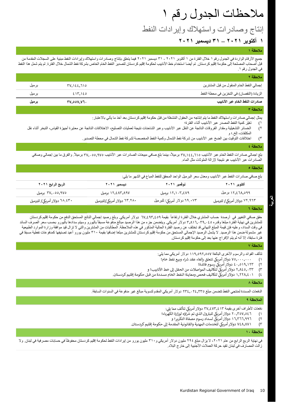## مالحظات الجدول رقم 1

إنتاج وصادرات واستهالك وإیرادات النفط

### **1 أكتوبر ٢٠٢1 – ٣1 دیسمبر ٢٠٢1**

#### **مالحظة 1**

جمیع الأرقام الواردة في الجدول رقم ١ خلال الفترة من ١ أكتوبر 2٠٢١ ايسمبر 2٠٢١ فيما يتعلق بإنتاج وصادرات واستهلاك وإيرادات النفط مبنية على السجلات المقدمة من قبل أصحاب المصلحة إلى حكومة إقليم كردستان. تم أيضا استخدام خط الأنابيب لحكوم إقليم كردستان لتصال لتصل فلاست لمحل الفترة. لم يتم شمل هذا النفط الشمال خلال الفترة. لم يتم شمل هذا النفط في الجدول رقم .1

| ملاحظة ٢                                   |                   |        |
|--------------------------------------------|-------------------|--------|
| إجمالي النفط الخام المنقول من قبل المشترين | <u>۳۷,۱٤٤,٦١٥</u> | بر میل |
| الزيادة (النقصان) في التخزين في محطة النفط | ٤١٣,١٤٥           | بر میل |
| صادرات النفط الخام عبر الأنابيب            | <b>۳۷.00V.V7.</b> | برميل  |
| ملاحظة ٣                                   |                   |        |

#### يمثل إجمالي صادرات واستهلاك النفط ما يتم إنتاجه من الحقول المُشغلة من قبل حكومة إقليم كردستان بعد أخذ ما يأتي بالاعتبار :

1) تغیّر كمیة النفط المصدر عبر األنابیب أثناء الفترة؛

- 2) الخسائر التشغیلیة ومقدار الفروقات الناتجة عن النقل عبر األنابیب وعبر الشاحنات نتیجة لعملیات التصلیح، االختالفات الناتجة عن معایرة أجهزة القیاس، التبخر أثناء نقل المكثفات، إلخ.؛ و
	- 3) اختالفات التوقیت بین الضخ عبر األنابیب من شركة نفط الشمال وكمیة النفط المخصصة لشركة نفط الشمال في محطة التصدیر.

#### **مالحظة ٤**

بلغ اجمالي صادر ات النفط الخام عبر الأنابيب ٢٧,١٤٤,٦١٥ برميلاً، بينما بلغ صافي مبيعات الصادرات عبر الأنابيب ٢٧,٠٥٥,٩٧٥ برميلاً. والفرق ما بين إجمالي وصافي الصادرات عبر األنابیب هو نتیجة إلزالة الملوثات مثل الماء.

#### **مالحظة ٥**

بلغ صافي صادرات النفط عبر األنابیب ومعدل سعر البرمیل الواحد المحقق للنفط المباع في الشهر ما یلي:

| الربع الرابع ٢٠٢١             | ديسمبر ٢٠٢١                 | نوفمبر ٢٠٢١                   | أكتوير ٢٠٢١                   |
|-------------------------------|-----------------------------|-------------------------------|-------------------------------|
| ۳۷٫۰۵٥,۹۷۵ برمیل              | ۱۲٫٤۸۳٫۸۹۷ برمیل            | ۱۲٫۱۰۳,٤۷۹ برمیل              | ۱۲٫٤٦۸,٥٩٩ بر میل             |
| ۲۸. ٤۳۰ دولار أمريكي/ للبرميل | ۲۳.۲۸۰ دولار أمريكي/للبرميل | ۲۹ . ۲۹ دولار أمريكي/ للبرميل | ۹٦۳.۹٦۳ دولار أمريكي/ للبرميل |

#### **مالحظة ٦**

**العربیة**

حقق صافي التغییر في أرصدة حساب المشتري خالل الفترة ارتفاعاً بقیمة 67,493,459 دوالر أمریكي. وبلغ رصید إجمالي الناتج المستحق الدفع من حكومة إقلیم كردستان للمشترين في نهاية الفترة مبلغا وقدره ٢,٨١٦,٠٣٩,٠٤٥ دولار أمريكي. ويتضمن جزء من هذا الرصيد مبالغ مسبقاً باليورو وسيتم سدادها باليورو بحسب سعر الصرف السائد في وقت السداد، وعليه فإن قيمة المبلغ النهائي قد تختلف عن رصيد الفترة الملاحظة. المطالبات المطالبات من المشترين والتي لا تزال قيد موافقة وزارة الموارد الطبيعية غیر مشمولة ضمن هذا الرصید. ال یشمل الرصید اإلجمالي المستحق من حكومة إقلیم كردستان للمشترین مبلغا إضافیا بقیمة 31٠ ملیون یورو أعید تصنیفها كمدفوعات نفطیة مسبقا في فترة سابقة، إال أنە لم یتم اإلفراج عنها بعد إلى حكومة إقلیم كردستان.

#### **مالحظة ٧**

تتألف الفوائد والرسوم األخرى البالغة 119,592,557 دوالر أمریكي مما یلي:

- ك 1) 75,000,000 تتعلق عقد رش دوالر أمري بإلغاء اء وبيع نفط خام؛
	- ٢) دولار أمريكي رسوم فائدة؛<br>...
- ٣) ٢,٨٤٥,٠٣٣ دولار أمريكي لتكاليف المواصلات من الحقل إلى خط الأنابيب؛ و
- ٤) ١ ، ١,٢٢٨,٤ دولار أمريكي لتكاليف فحص ومعاينة النفط الخام مسددة من قبل حكومة إقليم كردستان.

#### **مالحظة ٨**

الدفعات المسددة لمنتجي النفط تتضمن مبلغ 234,024,335 دوالر أمریكي المقدم لتسویة مبالغ غیر مدفوعة في السنوات السابقة.

#### **المالحظة ٩**

دفعات لأطراف أخرى بقيمة ٢٧,٤٧٣,٤١٣ دولار أمريكي تتألف مما يلي:<br>...

- ول الذي تم رش 1) 20,357,546 اؤه لوزارة الكهرباء؛ ك للبب <sup>ر</sup> دوالر أمري
	- ٢) 1,771,997 دولار أمريكي لسداد رسوم مصفاة التكرير؛ و
- ٣) ٧٤٨,٨٧١ دولار أمريكي للخدمات المهنية والقانونية المقدمة إلى حكومة إقليم كردستان.

#### **مالحظة 1٠**

في نهایة الربع الرابع من عام ٢٠٢١، لا يزال مبلغ ٢٩٤ مليون يوركي و31٠ مليون يورو من إيرادات النفط لحكومة إقليم كردستان محفوظأ في حسابات مصرفية في لبنان. ولا زالت المصارف في لبنان تقید حركة العمالت األجنبیة إلى خارج البالد.